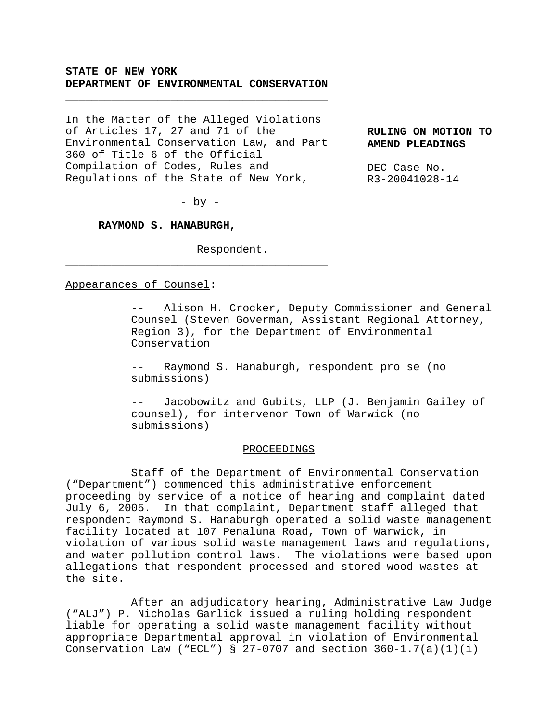# **STATE OF NEW YORK DEPARTMENT OF ENVIRONMENTAL CONSERVATION**

\_\_\_\_\_\_\_\_\_\_\_\_\_\_\_\_\_\_\_\_\_\_\_\_\_\_\_\_\_\_\_\_\_\_\_\_\_\_\_\_

In the Matter of the Alleged Violations of Articles 17, 27 and 71 of the Environmental Conservation Law, and Part 360 of Title 6 of the Official Compilation of Codes, Rules and Regulations of the State of New York,

**RULING ON MOTION TO AMEND PLEADINGS**

DEC Case No. R3-20041028-14

 $-$  by  $-$ 

\_\_\_\_\_\_\_\_\_\_\_\_\_\_\_\_\_\_\_\_\_\_\_\_\_\_\_\_\_\_\_\_\_\_\_\_\_\_\_\_

**RAYMOND S. HANABURGH,**

Respondent.

## Appearances of Counsel:

-- Alison H. Crocker, Deputy Commissioner and General Counsel (Steven Goverman, Assistant Regional Attorney, Region 3), for the Department of Environmental Conservation

Raymond S. Hanaburgh, respondent pro se (no submissions)

Jacobowitz and Gubits, LLP (J. Benjamin Gailey of counsel), for intervenor Town of Warwick (no submissions)

#### PROCEEDINGS

Staff of the Department of Environmental Conservation ("Department") commenced this administrative enforcement proceeding by service of a notice of hearing and complaint dated July 6, 2005. In that complaint, Department staff alleged that respondent Raymond S. Hanaburgh operated a solid waste management facility located at 107 Penaluna Road, Town of Warwick, in violation of various solid waste management laws and regulations, and water pollution control laws. The violations were based upon allegations that respondent processed and stored wood wastes at the site.

After an adjudicatory hearing, Administrative Law Judge ("ALJ") P. Nicholas Garlick issued a ruling holding respondent liable for operating a solid waste management facility without appropriate Departmental approval in violation of Environmental Conservation Law ("ECL") § 27-0707 and section  $360-1.7(a)(1)(i)$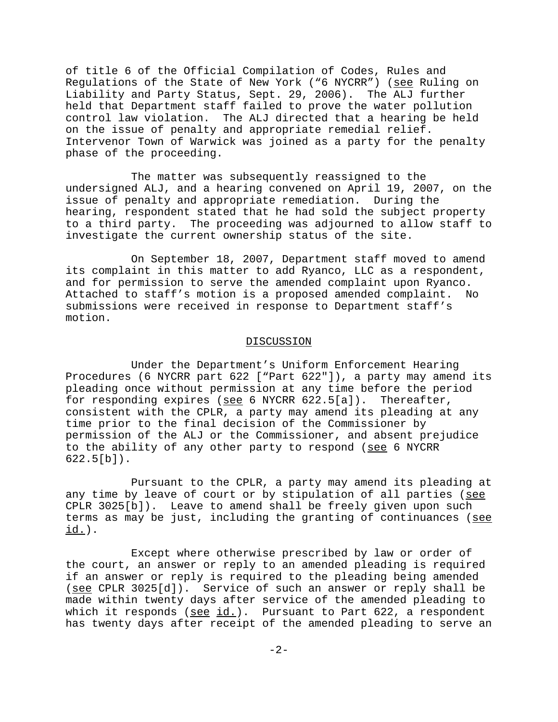of title 6 of the Official Compilation of Codes, Rules and Regulations of the State of New York ("6 NYCRR") (see Ruling on Liability and Party Status, Sept. 29, 2006). The ALJ further held that Department staff failed to prove the water pollution control law violation. The ALJ directed that a hearing be held on the issue of penalty and appropriate remedial relief. Intervenor Town of Warwick was joined as a party for the penalty phase of the proceeding.

The matter was subsequently reassigned to the undersigned ALJ, and a hearing convened on April 19, 2007, on the issue of penalty and appropriate remediation. During the hearing, respondent stated that he had sold the subject property to a third party. The proceeding was adjourned to allow staff to investigate the current ownership status of the site.

On September 18, 2007, Department staff moved to amend its complaint in this matter to add Ryanco, LLC as a respondent, and for permission to serve the amended complaint upon Ryanco. Attached to staff's motion is a proposed amended complaint. No submissions were received in response to Department staff's motion.

### DISCUSSION

Under the Department's Uniform Enforcement Hearing Procedures (6 NYCRR part 622 ["Part 622"]), a party may amend its pleading once without permission at any time before the period for responding expires (see 6 NYCRR 622.5[a]). Thereafter, consistent with the CPLR, a party may amend its pleading at any time prior to the final decision of the Commissioner by permission of the ALJ or the Commissioner, and absent prejudice to the ability of any other party to respond (see 6 NYCRR 622.5[b]).

Pursuant to the CPLR, a party may amend its pleading at any time by leave of court or by stipulation of all parties (see CPLR 3025[b]). Leave to amend shall be freely given upon such terms as may be just, including the granting of continuances (see id.).

Except where otherwise prescribed by law or order of the court, an answer or reply to an amended pleading is required if an answer or reply is required to the pleading being amended (see CPLR 3025[d]). Service of such an answer or reply shall be made within twenty days after service of the amended pleading to which it responds ( $\frac{\text{see id.}}{\text{or all}}$ ). Pursuant to Part 622, a respondent has twenty days after receipt of the amended pleading to serve an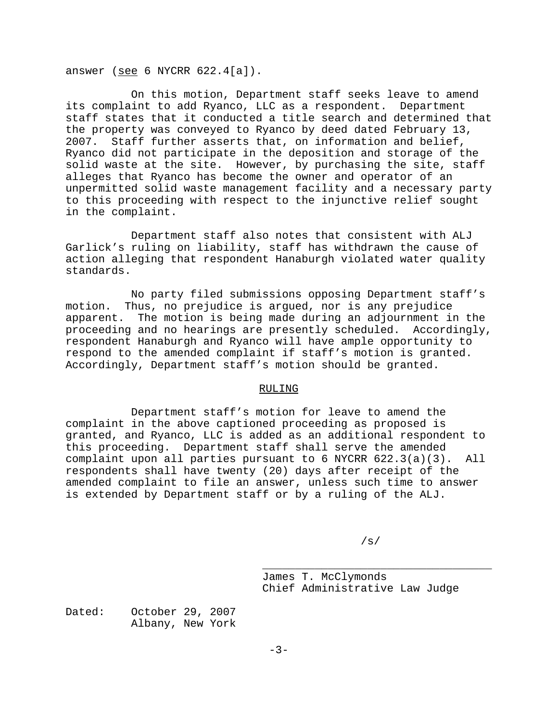answer (see 6 NYCRR 622.4[a]).

On this motion, Department staff seeks leave to amend its complaint to add Ryanco, LLC as a respondent. Department staff states that it conducted a title search and determined that the property was conveyed to Ryanco by deed dated February 13, 2007. Staff further asserts that, on information and belief, Ryanco did not participate in the deposition and storage of the solid waste at the site. However, by purchasing the site, staff alleges that Ryanco has become the owner and operator of an unpermitted solid waste management facility and a necessary party to this proceeding with respect to the injunctive relief sought in the complaint.

Department staff also notes that consistent with ALJ Garlick's ruling on liability, staff has withdrawn the cause of action alleging that respondent Hanaburgh violated water quality standards.

No party filed submissions opposing Department staff's motion. Thus, no prejudice is argued, nor is any prejudice apparent. The motion is being made during an adjournment in the proceeding and no hearings are presently scheduled. Accordingly, respondent Hanaburgh and Ryanco will have ample opportunity to respond to the amended complaint if staff's motion is granted. Accordingly, Department staff's motion should be granted.

## RULING

Department staff's motion for leave to amend the complaint in the above captioned proceeding as proposed is granted, and Ryanco, LLC is added as an additional respondent to this proceeding. Department staff shall serve the amended complaint upon all parties pursuant to 6 NYCRR 622.3(a)(3). All respondents shall have twenty (20) days after receipt of the amended complaint to file an answer, unless such time to answer is extended by Department staff or by a ruling of the ALJ.

/s/

\_\_\_\_\_\_\_\_\_\_\_\_\_\_\_\_\_\_\_\_\_\_\_\_\_\_\_\_\_\_\_\_\_\_\_

James T. McClymonds Chief Administrative Law Judge

Dated: October 29, 2007 Albany, New York

 $-3-$